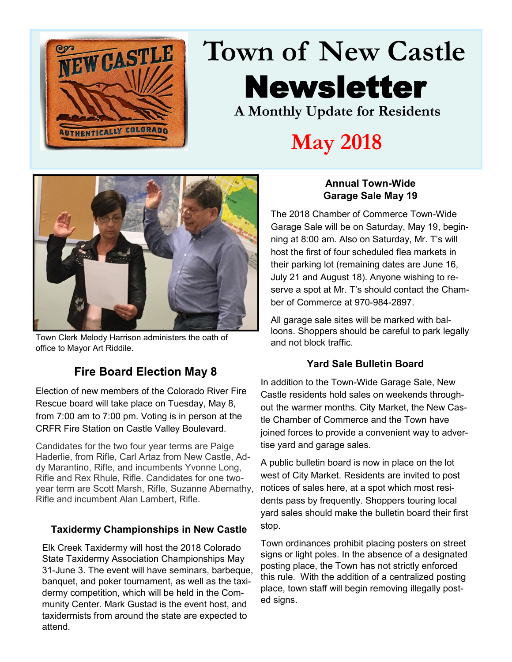

## **Town of New Castle** Newsletter **A Monthly Update for Residents**

## **May 2018**



Town Clerk Melody Harrison administers the oath of office to Mayor Art Riddile.

#### **Fire Board Election May 8**

Election of new members of the Colorado River Fire Rescue board will take place on Tuesday, May 8, from 7:00 am to 7:00 pm. Voting is in person at the CRFR Fire Station on Castle Valley Boulevard.

Candidates for the two four year terms are Paige Haderlie, from Rifle, Carl Artaz from New Castle, Addy Marantino, Rifle, and incumbents Yvonne Long, Rifle and Rex Rhule, Rifle. Candidates for one twoyear term are Scott Marsh, Rifle, Suzanne Abernathy, Rifle and incumbent Alan Lambert, Rifle.

#### **Taxidermy Championships in New Castle**

Elk Creek Taxidermy will host the 2018 Colorado State Taxidermy Association Championships May 31-June 3. The event will have seminars, barbeque, banquet, and poker tournament, as well as the taxidermy competition, which will be held in the Community Center. Mark Gustad is the event host, and taxidermists from around the state are expected to attend.

#### **Annual Town-Wide Garage Sale May 19**

The 2018 Chamber of Commerce Town-Wide Garage Sale will be on Saturday, May 19, beginning at 8:00 am. Also on Saturday, Mr. T's will host the first of four scheduled flea markets in their parking lot (remaining dates are June 16, July 21 and August 18). Anyone wishing to reserve a spot at Mr. T's should contact the Chamber of Commerce at 970-984-2897.

All garage sale sites will be marked with balloons. Shoppers should be careful to park legally and not block traffic.

#### **Yard Sale Bulletin Board**

In addition to the Town-Wide Garage Sale, New Castle residents hold sales on weekends throughout the warmer months. City Market, the New Castle Chamber of Commerce and the Town have joined forces to provide a convenient way to advertise yard and garage sales.

A public bulletin board is now in place on the lot west of City Market. Residents are invited to post notices of sales here, at a spot which most residents pass by frequently. Shoppers touring local yard sales should make the bulletin board their first stop.

Town ordinances prohibit placing posters on street signs or light poles. In the absence of a designated posting place, the Town has not strictly enforced this rule. With the addition of a centralized posting place, town staff will begin removing illegally posted signs.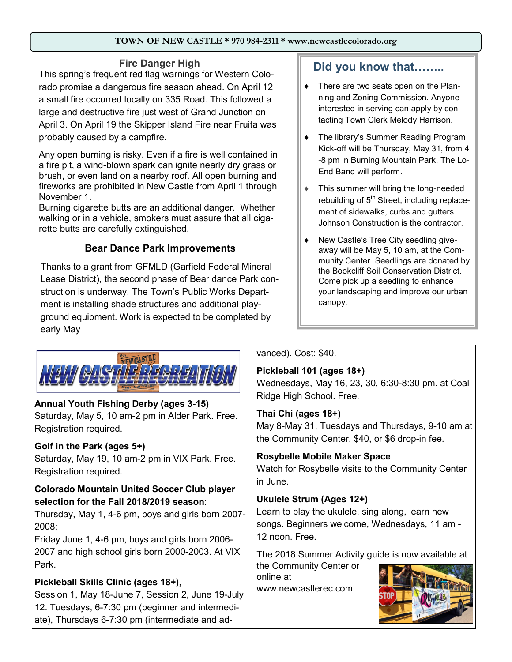#### **TOWN OF NEW CASTLE \* 970 984-2311 \* www.newcastlecolorado.org**

#### **Fire Danger High**

This spring's frequent red flag warnings for Western Colorado promise a dangerous fire season ahead. On April 12 a small fire occurred locally on 335 Road. This followed a large and destructive fire just west of Grand Junction on April 3. On April 19 the Skipper Island Fire near Fruita was probably caused by a campfire.

Any open burning is risky. Even if a fire is well contained in a fire pit, a wind-blown spark can ignite nearly dry grass or brush, or even land on a nearby roof. All open burning and fireworks are prohibited in New Castle from April 1 through November 1.

Burning cigarette butts are an additional danger. Whether walking or in a vehicle, smokers must assure that all cigarette butts are carefully extinguished.

#### **Bear Dance Park Improvements**

Thanks to a grant from GFMLD (Garfield Federal Mineral Lease District), the second phase of Bear dance Park construction is underway. The Town's Public Works Department is installing shade structures and additional playground equipment. Work is expected to be completed by early May



#### **Annual Youth Fishing Derby (ages 3-15)**

Saturday, May 5, 10 am-2 pm in Alder Park. Free. Registration required.

#### **Golf in the Park (ages 5+)**

Saturday, May 19, 10 am-2 pm in VIX Park. Free. Registration required.

#### **Colorado Mountain United Soccer Club player selection for the Fall 2018/2019 season**:

Thursday, May 1, 4-6 pm, boys and girls born 2007- 2008;

Friday June 1, 4-6 pm, boys and girls born 2006- 2007 and high school girls born 2000-2003. At VIX Park.

#### **Pickleball Skills Clinic (ages 18+),**

Session 1, May 18-June 7, Session 2, June 19-July 12. Tuesdays, 6-7:30 pm (beginner and intermediate), Thursdays 6-7:30 pm (intermediate and advanced). Cost: \$40.

#### **Pickleball 101 (ages 18+)**

canopy.

Wednesdays, May 16, 23, 30, 6:30-8:30 pm. at Coal Ridge High School. Free.

**Did you know that……..**

• There are two seats open on the Planning and Zoning Commission. Anyone interested in serving can apply by contacting Town Clerk Melody Harrison.

◆ The library's Summer Reading Program Kick-off will be Thursday, May 31, from 4 -8 pm in Burning Mountain Park. The Lo-

 This summer will bring the long-needed rebuilding of  $5<sup>th</sup>$  Street, including replacement of sidewalks, curbs and gutters. Johnson Construction is the contractor.

 New Castle's Tree City seedling giveaway will be May 5, 10 am, at the Community Center. Seedlings are donated by the Bookcliff Soil Conservation District. Come pick up a seedling to enhance your landscaping and improve our urban

End Band will perform.

#### **Thai Chi (ages 18+)**

May 8-May 31, Tuesdays and Thursdays, 9-10 am at the Community Center. \$40, or \$6 drop-in fee.

#### **Rosybelle Mobile Maker Space**

Watch for Rosybelle visits to the Community Center in June.

#### **Ukulele Strum (Ages 12+)**

Learn to play the ukulele, sing along, learn new songs. Beginners welcome, Wednesdays, 11 am - 12 noon. Free.

The 2018 Summer Activity guide is now available at

the Community Center or online at www.newcastlerec.com.

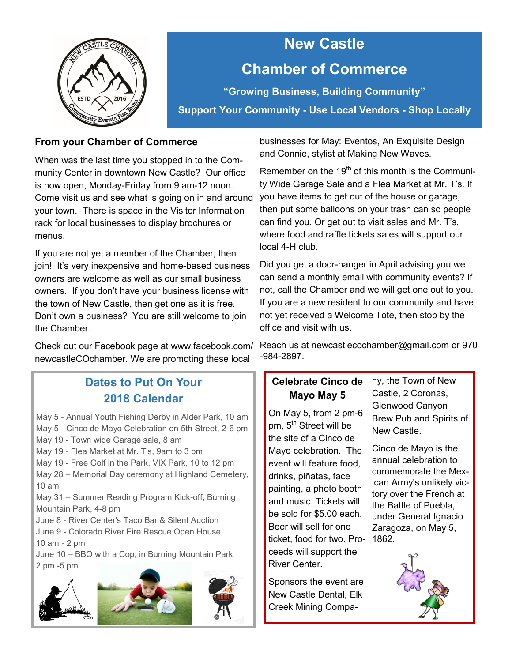

## **New Castle Chamber of Commerce**

**"Growing Business, Building Community" Support Your Community - Use Local Vendors - Shop Locally**

#### **From your Chamber of Commerce**

When was the last time you stopped in to the Community Center in downtown New Castle? Our office is now open, Monday-Friday from 9 am-12 noon. Come visit us and see what is going on in and around your town. There is space in the Visitor Information rack for local businesses to display brochures or menus.

If you are not yet a member of the Chamber, then join! It's very inexpensive and home-based business owners are welcome as well as our small business owners. If you don't have your business license with the town of New Castle, then get one as it is free. Don't own a business? You are still welcome to join the Chamber.

Check out our Facebook page at [www.facebook.com/](http://www.facebook.com/newcastleCOchamber) [newcastleCOchamber.](http://www.facebook.com/newcastleCOchamber) We are promoting these local

#### **Dates to Put On Your 2018 Calendar**

May 5 - Annual Youth Fishing Derby in Alder Park, 10 am May 5 - Cinco de Mayo Celebration on 5th Street, 2-6 pm May 19 - Town wide Garage sale, 8 am

May 19 - Flea Market at Mr. T's, 9am to 3 pm

May 19 - Free Golf in the Park, VIX Park, 10 to 12 pm

May 28 – Memorial Day ceremony at Highland Cemetery, 10 am

May 31 – Summer Reading Program Kick-off, Burning Mountain Park, 4-8 pm

June 8 - River Center's Taco Bar & Silent Auction

June 9 - Colorado River Fire Rescue Open House,

10 am - 2 pm

June 10 – BBQ with a Cop, in Burning Mountain Park 2 pm -5 pm





businesses for May: Eventos, An Exquisite Design and Connie, stylist at Making New Waves.

Remember on the  $19<sup>th</sup>$  of this month is the Community Wide Garage Sale and a Flea Market at Mr. T's. If you have items to get out of the house or garage, then put some balloons on your trash can so people can find you. Or get out to visit sales and Mr. T's, where food and raffle tickets sales will support our local 4-H club.

Did you get a door-hanger in April advising you we can send a monthly email with community events? If not, call the Chamber and we will get one out to you. If you are a new resident to our community and have not yet received a Welcome Tote, then stop by the office and visit with us.

Reach us at newcastlecochamber@gmail.com or 970 -984-2897.

#### **Celebrate Cinco de Mayo May 5**

On May 5, from 2 pm-6 pm, 5<sup>th</sup> Street will be the site of a Cinco de Mayo celebration. The event will feature food, drinks, piñatas, face painting, a photo booth and music. Tickets will be sold for \$5.00 each. Beer will sell for one ticket, food for two. Pro-1862. ceeds will support the River Center.

Sponsors the event are New Castle Dental, Elk Creek Mining Company, the Town of New Castle, 2 Coronas, Glenwood Canyon Brew Pub and Spirits of New Castle.

Cinco de Mayo is the annual celebration to commemorate the [Mex](https://en.wikipedia.org/wiki/Mexican_Army)ican [Army'](https://en.wikipedia.org/wiki/Mexican_Army)s unlikely victory over the French at the [Battle of Puebla,](https://en.wikipedia.org/wiki/Battle_of_Puebla) under General [Ignacio](https://en.wikipedia.org/wiki/Ignacio_Zaragoza)  [Zaragoza,](https://en.wikipedia.org/wiki/Ignacio_Zaragoza) on May 5,